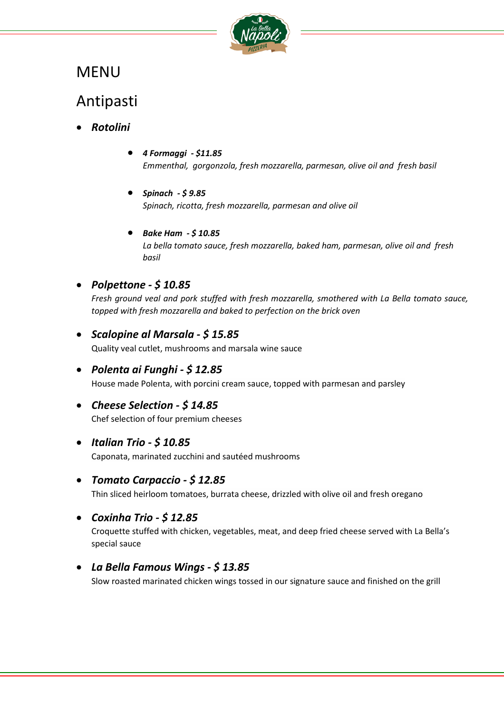

# MENU

## Antipasti

- *Rotolini*
	- *4 Formaggi - \$11.85 Emmenthal, gorgonzola, fresh mozzarella, parmesan, olive oil and fresh basil*
	- *Spinach - \$ 9.85 Spinach, ricotta, fresh mozzarella, parmesan and olive oil*
	- *Bake Ham - \$ 10.85 La bella tomato sauce, fresh mozzarella, baked ham, parmesan, olive oil and fresh basil*
- *Polpettone - \$ 10.85*

*Fresh ground veal and pork stuffed with fresh mozzarella, smothered with La Bella tomato sauce, topped with fresh mozzarella and baked to perfection on the brick oven*

• *Scalopine al Marsala - \$ 15.85*

Quality veal cutlet, mushrooms and marsala wine sauce

- *Polenta ai Funghi - \$ 12.85* House made Polenta, with porcini cream sauce, topped with parmesan and parsley
- *Cheese Selection - \$ 14.85* Chef selection of four premium cheeses
- *Italian Trio - \$ 10.85*

Caponata, marinated zucchini and sautéed mushrooms

• *Tomato Carpaccio - \$ 12.85*

Thin sliced heirloom tomatoes, burrata cheese, drizzled with olive oil and fresh oregano

• *Coxinha Trio - \$ 12.85*

Croquette stuffed with chicken, vegetables, meat, and deep fried cheese served with La Bella's special sauce

• *La Bella Famous Wings - \$ 13.85*

Slow roasted marinated chicken wings tossed in our signature sauce and finished on the grill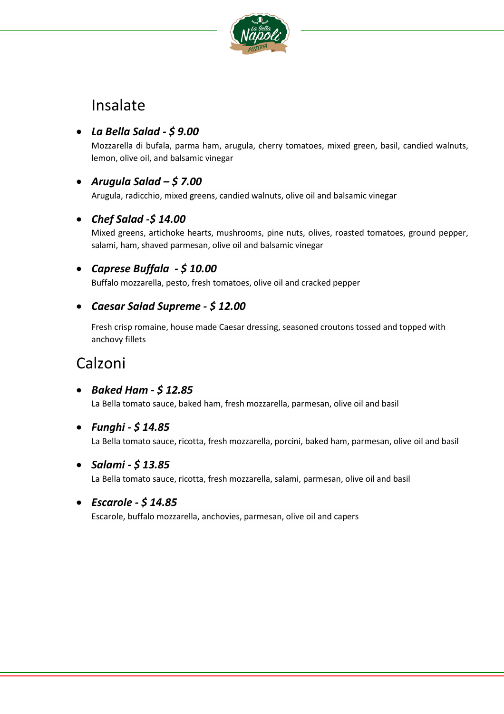

## Insalate

## • *La Bella Salad - \$ 9.00*

Mozzarella di bufala, parma ham, arugula, cherry tomatoes, mixed green, basil, candied walnuts, lemon, olive oil, and balsamic vinegar

## • *Arugula Salad – \$ 7.00*

Arugula, radicchio, mixed greens, candied walnuts, olive oil and balsamic vinegar

## • *Chef Salad -\$ 14.00*

Mixed greens, artichoke hearts, mushrooms, pine nuts, olives, roasted tomatoes, ground pepper, salami, ham, shaved parmesan, olive oil and balsamic vinegar

## • *Caprese Buffala - \$ 10.00*

Buffalo mozzarella, pesto, fresh tomatoes, olive oil and cracked pepper

## • *Caesar Salad Supreme - \$ 12.00*

Fresh crisp romaine, house made Caesar dressing, seasoned croutons tossed and topped with anchovy fillets

# Calzoni

• *Baked Ham - \$ 12.85*

La Bella tomato sauce, baked ham, fresh mozzarella, parmesan, olive oil and basil

• *Funghi - \$ 14.85*

La Bella tomato sauce, ricotta, fresh mozzarella, porcini, baked ham, parmesan, olive oil and basil

• *Salami - \$ 13.85*

La Bella tomato sauce, ricotta, fresh mozzarella, salami, parmesan, olive oil and basil

#### • *Escarole - \$ 14.85*

Escarole, buffalo mozzarella, anchovies, parmesan, olive oil and capers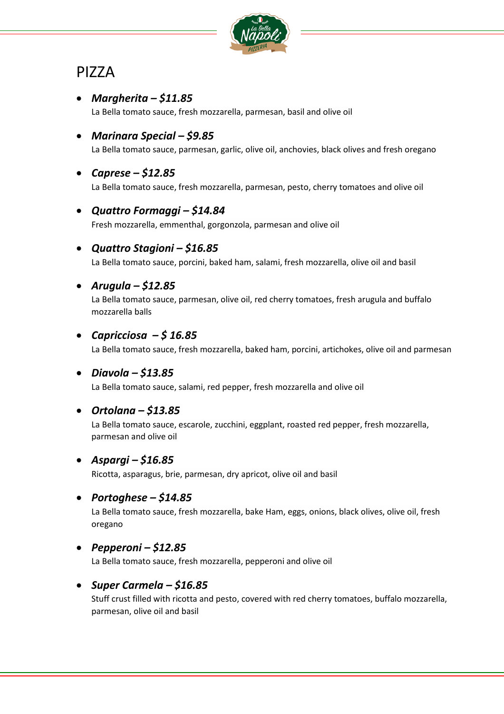

# PIZZA

- *Margherita – \$11.85* La Bella tomato sauce, fresh mozzarella, parmesan, basil and olive oil
- *Marinara Special – \$9.85* La Bella tomato sauce, parmesan, garlic, olive oil, anchovies, black olives and fresh oregano
- *Caprese – \$12.85*
	- La Bella tomato sauce, fresh mozzarella, parmesan, pesto, cherry tomatoes and olive oil

#### • *Quattro Formaggi – \$14.84*

Fresh mozzarella, emmenthal, gorgonzola, parmesan and olive oil

• *Quattro Stagioni – \$16.85*

La Bella tomato sauce, porcini, baked ham, salami, fresh mozzarella, olive oil and basil

## • *Arugula – \$12.85*

La Bella tomato sauce, parmesan, olive oil, red cherry tomatoes, fresh arugula and buffalo mozzarella balls

## • *Capricciosa – \$ 16.85*

La Bella tomato sauce, fresh mozzarella, baked ham, porcini, artichokes, olive oil and parmesan

#### • *Diavola – \$13.85*

La Bella tomato sauce, salami, red pepper, fresh mozzarella and olive oil

## • *Ortolana – \$13.85*

La Bella tomato sauce, escarole, zucchini, eggplant, roasted red pepper, fresh mozzarella, parmesan and olive oil

#### • *Aspargi – \$16.85*

Ricotta, asparagus, brie, parmesan, dry apricot, olive oil and basil

#### • *Portoghese – \$14.85*

La Bella tomato sauce, fresh mozzarella, bake Ham, eggs, onions, black olives, olive oil, fresh oregano

#### • *Pepperoni – \$12.85*

La Bella tomato sauce, fresh mozzarella, pepperoni and olive oil

#### • *Super Carmela – \$16.85*

Stuff crust filled with ricotta and pesto, covered with red cherry tomatoes, buffalo mozzarella, parmesan, olive oil and basil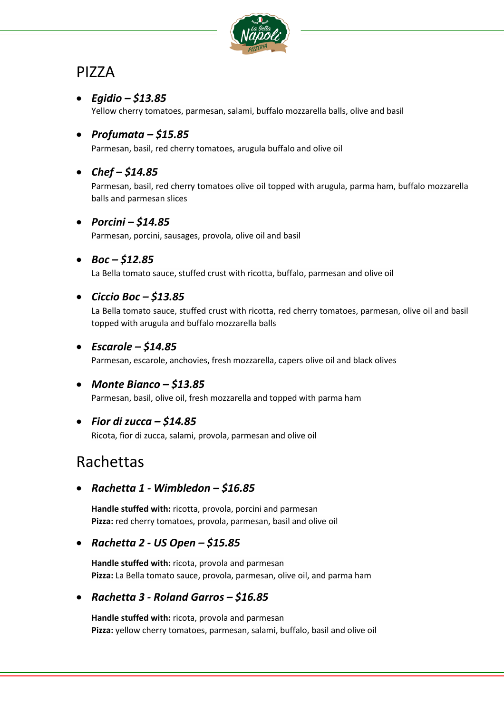

# PIZZA

### • *Egidio – \$13.85*

Yellow cherry tomatoes, parmesan, salami, buffalo mozzarella balls, olive and basil

### • *Profumata – \$15.85*

Parmesan, basil, red cherry tomatoes, arugula buffalo and olive oil

## • *Chef – \$14.85*

Parmesan, basil, red cherry tomatoes olive oil topped with arugula, parma ham, buffalo mozzarella balls and parmesan slices

## • *Porcini – \$14.85*

Parmesan, porcini, sausages, provola, olive oil and basil

#### • *Boc – \$12.85*

La Bella tomato sauce, stuffed crust with ricotta, buffalo, parmesan and olive oil

## • *Ciccio Boc – \$13.85*

La Bella tomato sauce, stuffed crust with ricotta, red cherry tomatoes, parmesan, olive oil and basil topped with arugula and buffalo mozzarella balls

## • *Escarole – \$14.85*

Parmesan, escarole, anchovies, fresh mozzarella, capers olive oil and black olives

#### • *Monte Bianco – \$13.85*

Parmesan, basil, olive oil, fresh mozzarella and topped with parma ham

#### • *Fior di zucca – \$14.85*

Ricota, fior di zucca, salami, provola, parmesan and olive oil

## Rachettas

## • *Rachetta 1 - Wimbledon – \$16.85*

**Handle stuffed with:** ricotta, provola, porcini and parmesan **Pizza:** red cherry tomatoes, provola, parmesan, basil and olive oil

#### • *Rachetta 2 - US Open – \$15.85*

**Handle stuffed with:** ricota, provola and parmesan **Pizza:** La Bella tomato sauce, provola, parmesan, olive oil, and parma ham

#### • *Rachetta 3 - Roland Garros – \$16.85*

**Handle stuffed with:** ricota, provola and parmesan **Pizza:** yellow cherry tomatoes, parmesan, salami, buffalo, basil and olive oil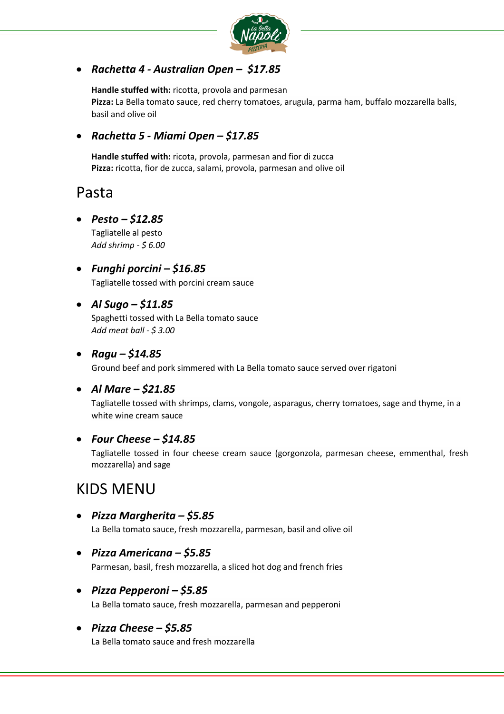

## • *Rachetta 4 - Australian Open – \$17.85*

**Handle stuffed with:** ricotta, provola and parmesan **Pizza:** La Bella tomato sauce, red cherry tomatoes, arugula, parma ham, buffalo mozzarella balls, basil and olive oil

### • *Rachetta 5 - Miami Open – \$17.85*

**Handle stuffed with:** ricota, provola, parmesan and fior di zucca **Pizza:** ricotta, fior de zucca, salami, provola, parmesan and olive oil

## Pasta

#### • *Pesto – \$12.85*

Tagliatelle al pesto *Add shrimp - \$ 6.00*

• *Funghi porcini – \$16.85*

Tagliatelle tossed with porcini cream sauce

#### • *Al Sugo – \$11.85*

Spaghetti tossed with La Bella tomato sauce *Add meat ball - \$ 3.00*

#### • *Ragu – \$14.85*

Ground beef and pork simmered with La Bella tomato sauce served over rigatoni

#### • *Al Mare – \$21.85*

Tagliatelle tossed with shrimps, clams, vongole, asparagus, cherry tomatoes, sage and thyme, in a white wine cream sauce

#### • *Four Cheese – \$14.85*

Tagliatelle tossed in four cheese cream sauce (gorgonzola, parmesan cheese, emmenthal, fresh mozzarella) and sage

## KIDS MENU

• *Pizza Margherita – \$5.85*

La Bella tomato sauce, fresh mozzarella, parmesan, basil and olive oil

- *Pizza Americana – \$5.85* Parmesan, basil, fresh mozzarella, a sliced hot dog and french fries
- *Pizza Pepperoni – \$5.85* La Bella tomato sauce, fresh mozzarella, parmesan and pepperoni
- *Pizza Cheese – \$5.85*

La Bella tomato sauce and fresh mozzarella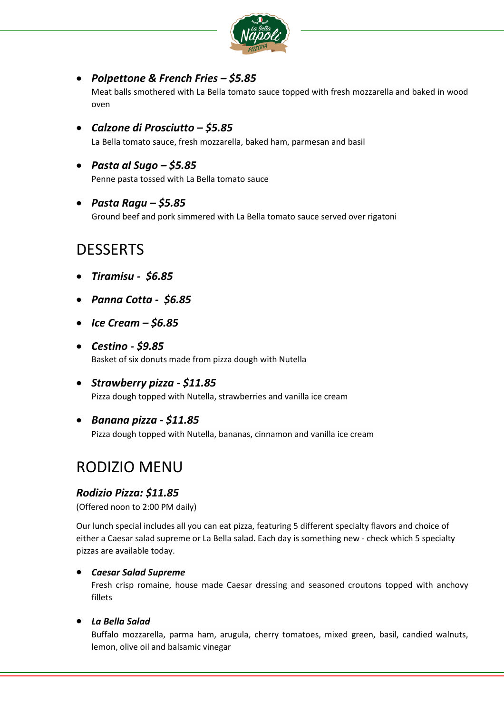

#### • *Polpettone & French Fries – \$5.85*

Meat balls smothered with La Bella tomato sauce topped with fresh mozzarella and baked in wood oven

• *Calzone di Prosciutto – \$5.85*

La Bella tomato sauce, fresh mozzarella, baked ham, parmesan and basil

• *Pasta al Sugo – \$5.85*

Penne pasta tossed with La Bella tomato sauce

• *Pasta Ragu – \$5.85*

Ground beef and pork simmered with La Bella tomato sauce served over rigatoni

## DESSERTS

- *Tiramisu \$6.85*
- *Panna Cotta \$6.85*
- *Ice Cream – \$6.85*
- *Cestino - \$9.85* Basket of six donuts made from pizza dough with Nutella
- *Strawberry pizza - \$11.85* Pizza dough topped with Nutella, strawberries and vanilla ice cream
- *Banana pizza - \$11.85*

Pizza dough topped with Nutella, bananas, cinnamon and vanilla ice cream

## RODIZIO MENU

#### *Rodizio Pizza: \$11.85*

(Offered noon to 2:00 PM daily)

Our lunch special includes all you can eat pizza, featuring 5 different specialty flavors and choice of either a Caesar salad supreme or La Bella salad. Each day is something new - check which 5 specialty pizzas are available today.

#### • *Caesar Salad Supreme*

Fresh crisp romaine, house made Caesar dressing and seasoned croutons topped with anchovy fillets

#### • *La Bella Salad*

Buffalo mozzarella, parma ham, arugula, cherry tomatoes, mixed green, basil, candied walnuts, lemon, olive oil and balsamic vinegar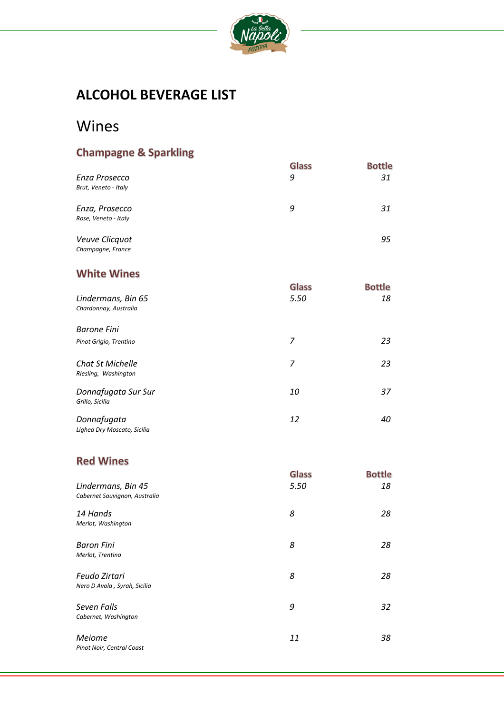

## **ALCOHOL BEVERAGE LIST**

## Wines

## **Champagne & Sparkling**

|                      | Glass | <b>Bottle</b> |
|----------------------|-------|---------------|
| Enza Prosecco        | 9     | 31            |
| Brut, Veneto - Italy |       |               |
| Enza, Prosecco       | 9     | 31            |
| Rose, Veneto - Italy |       |               |
| Veuve Clicquot       |       | 95            |

## *Champagne, France*

## **White Wines**

|                                                 | Glass | <b>Bottle</b> |
|-------------------------------------------------|-------|---------------|
| Lindermans, Bin 65                              | 5.50  | 18            |
| Chardonnay, Australia                           |       |               |
| <b>Barone Fini</b>                              |       |               |
|                                                 |       |               |
| Pinot Grigio, Trentino                          | 7     | 23            |
|                                                 |       |               |
| <b>Chat St Michelle</b><br>Rlesling, Washington | 7     | 23            |
|                                                 |       |               |
| Donnafugata Sur Sur                             | 10    | 37            |
| Grillo, Sicilia                                 |       |               |
|                                                 |       |               |
| Donnafugata                                     | 12    | 40            |
| Lighea Dry Moscato, Sicilia                     |       |               |

## **Red Wines**

| Lindermans, Bin 45<br>Cabernet Sauvignon, Australia | Glass<br>5.50 | <b>Bottle</b><br>18 |
|-----------------------------------------------------|---------------|---------------------|
| 14 Hands<br>Merlot, Washington                      | 8             | 28                  |
| <b>Baron Fini</b><br>Merlot, Trentino               | 8             | 28                  |
| Feudo Zirtari<br>Nero D Avola, Syrah, Sicilia       | 8             | 28                  |
| Seven Falls<br>Cabernet, Washington                 | 9             | 32                  |
| Meiome<br>Pinot Noir, Central Coast                 | 11            | 38                  |